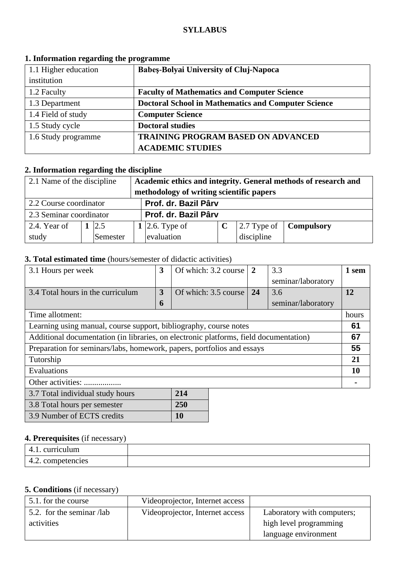#### **SYLLABUS**

| 1.1 Higher education | <b>Babes-Bolyai University of Cluj-Napoca</b>              |  |  |
|----------------------|------------------------------------------------------------|--|--|
| institution          |                                                            |  |  |
| 1.2 Faculty          | <b>Faculty of Mathematics and Computer Science</b>         |  |  |
| 1.3 Department       | <b>Doctoral School in Mathematics and Computer Science</b> |  |  |
| 1.4 Field of study   | <b>Computer Science</b>                                    |  |  |
| 1.5 Study cycle      | <b>Doctoral studies</b>                                    |  |  |
| 1.6 Study programme  | <b>TRAINING PROGRAM BASED ON ADVANCED</b>                  |  |  |
|                      | <b>ACADEMIC STUDIES</b>                                    |  |  |

#### **1. Information regarding the programme**

# **2. Information regarding the discipline**

| 2.1 Name of the discipline                     |  |          |                                          | Academic ethics and integrity. General methods of research and |  |            |                                               |
|------------------------------------------------|--|----------|------------------------------------------|----------------------------------------------------------------|--|------------|-----------------------------------------------|
|                                                |  |          | methodology of writing scientific papers |                                                                |  |            |                                               |
| Prof. dr. Bazil Pârv<br>2.2 Course coordinator |  |          |                                          |                                                                |  |            |                                               |
| 2.3 Seminar coordinator                        |  |          |                                          | Prof. dr. Bazil Pârv                                           |  |            |                                               |
| 2.4. Year of                                   |  | 2.5      |                                          | 1   2.6. Type of                                               |  |            | $\vert$ 2.7 Type of $\vert$ <b>Compulsory</b> |
| study                                          |  | Semester |                                          | evaluation                                                     |  | discipline |                                               |

#### **3. Total estimated time** (hours/semester of didactic activities)

| 3.1 Hours per week                                                                    | 3              | Of which: 3.2 course | 2  | 3.3                | 1 sem |
|---------------------------------------------------------------------------------------|----------------|----------------------|----|--------------------|-------|
|                                                                                       |                |                      |    | seminar/laboratory |       |
| 3.4 Total hours in the curriculum                                                     | $\overline{3}$ | Of which: 3.5 course | 24 | 3.6                | 12    |
|                                                                                       | 6              |                      |    | seminar/laboratory |       |
| Time allotment:                                                                       |                |                      |    |                    | hours |
| Learning using manual, course support, bibliography, course notes                     |                |                      |    |                    | 61    |
| Additional documentation (in libraries, on electronic platforms, field documentation) |                |                      |    |                    | 67    |
| Preparation for seminars/labs, homework, papers, portfolios and essays                |                |                      |    | 55                 |       |
| Tutorship                                                                             |                |                      |    |                    | 21    |
| Evaluations                                                                           |                |                      |    | 10                 |       |
| Other activities:                                                                     |                |                      |    |                    |       |
| 3.7 Total individual study hours                                                      |                | 214                  |    |                    |       |
| 3.8 Total hours per semester                                                          |                | 250                  |    |                    |       |

#### **4. Prerequisites** (if necessary)

3.9 Number of ECTS credits **10**

| curriculum        |  |
|-------------------|--|
| 4.2. competencies |  |

# **5. Conditions** (if necessary)

| 5.1. for the course       | Videoprojector, Internet access |                            |
|---------------------------|---------------------------------|----------------------------|
| 5.2. for the seminar /lab | Videoprojector, Internet access | Laboratory with computers; |
| activities                |                                 | high level programming     |
|                           |                                 | language environment       |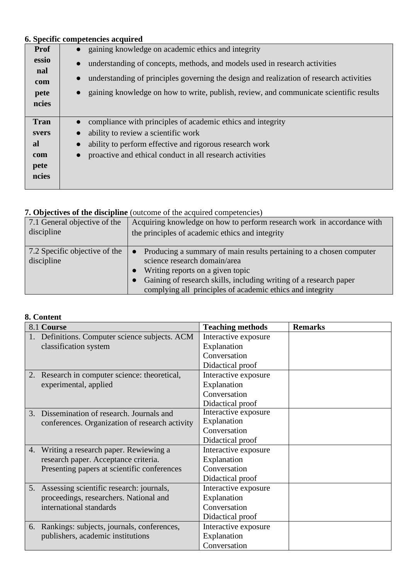# **6. Specific competencies acquired**

| <b>Prof</b> | gaining knowledge on academic ethics and integrity                                      |
|-------------|-----------------------------------------------------------------------------------------|
| essio       | understanding of concepts, methods, and models used in research activities<br>$\bullet$ |
| nal         | understanding of principles governing the design and realization of research activities |
| com         |                                                                                         |
| pete        | gaining knowledge on how to write, publish, review, and communicate scientific results  |
| ncies       |                                                                                         |
|             |                                                                                         |
| <b>Tran</b> | compliance with principles of academic ethics and integrity                             |
| svers       | ability to review a scientific work                                                     |
| <b>al</b>   | ability to perform effective and rigorous research work                                 |
| com         | proactive and ethical conduct in all research activities                                |
| pete        |                                                                                         |
| ncies       |                                                                                         |
|             |                                                                                         |

# **7. Objectives of the discipline** (outcome of the acquired competencies)

| 7.1 General objective of the                | Acquiring knowledge on how to perform research work in accordance with                                                                                                                                                                                                                 |
|---------------------------------------------|----------------------------------------------------------------------------------------------------------------------------------------------------------------------------------------------------------------------------------------------------------------------------------------|
| discipline                                  | the principles of academic ethics and integrity                                                                                                                                                                                                                                        |
| 7.2 Specific objective of the<br>discipline | Producing a summary of main results pertaining to a chosen computer<br>$\bullet$<br>science research domain/area<br>Writing reports on a given topic<br>Gaining of research skills, including writing of a research paper<br>complying all principles of academic ethics and integrity |

# **8. Content**

|    | 8.1 Course                                     | <b>Teaching methods</b> | <b>Remarks</b> |
|----|------------------------------------------------|-------------------------|----------------|
|    | Definitions. Computer science subjects. ACM    | Interactive exposure    |                |
|    | classification system                          | Explanation             |                |
|    |                                                | Conversation            |                |
|    |                                                | Didactical proof        |                |
| 2. | Research in computer science: theoretical,     | Interactive exposure    |                |
|    | experimental, applied                          | Explanation             |                |
|    |                                                | Conversation            |                |
|    |                                                | Didactical proof        |                |
|    | 3. Dissemination of research. Journals and     | Interactive exposure    |                |
|    | conferences. Organization of research activity | Explanation             |                |
|    |                                                | Conversation            |                |
|    |                                                | Didactical proof        |                |
|    | 4. Writing a research paper. Rewiewing a       | Interactive exposure    |                |
|    | research paper. Acceptance criteria.           | Explanation             |                |
|    | Presenting papers at scientific conferences    | Conversation            |                |
|    |                                                | Didactical proof        |                |
|    | 5. Assessing scientific research: journals,    | Interactive exposure    |                |
|    | proceedings, researchers. National and         | Explanation             |                |
|    | international standards                        | Conversation            |                |
|    |                                                | Didactical proof        |                |
|    | 6. Rankings: subjects, journals, conferences,  | Interactive exposure    |                |
|    | publishers, academic institutions              | Explanation             |                |
|    |                                                | Conversation            |                |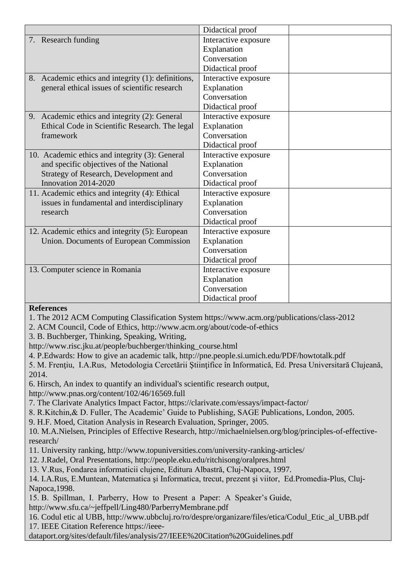|                                                    | Didactical proof     |
|----------------------------------------------------|----------------------|
| 7. Research funding                                | Interactive exposure |
|                                                    | Explanation          |
|                                                    | Conversation         |
|                                                    | Didactical proof     |
| 8. Academic ethics and integrity (1): definitions, | Interactive exposure |
| general ethical issues of scientific research      | Explanation          |
|                                                    | Conversation         |
|                                                    | Didactical proof     |
| 9. Academic ethics and integrity (2): General      | Interactive exposure |
| Ethical Code in Scientific Research. The legal     | Explanation          |
| framework                                          | Conversation         |
|                                                    | Didactical proof     |
| 10. Academic ethics and integrity (3): General     | Interactive exposure |
| and specific objectives of the National            | Explanation          |
| Strategy of Research, Development and              | Conversation         |
| Innovation 2014-2020                               | Didactical proof     |
| 11. Academic ethics and integrity (4): Ethical     | Interactive exposure |
| issues in fundamental and interdisciplinary        | Explanation          |
| research                                           | Conversation         |
|                                                    | Didactical proof     |
| 12. Academic ethics and integrity (5): European    | Interactive exposure |
| Union. Documents of European Commission            | Explanation          |
|                                                    | Conversation         |
|                                                    | Didactical proof     |
| 13. Computer science in Romania                    | Interactive exposure |
|                                                    | Explanation          |
|                                                    | Conversation         |
| $\mathbf{r}$                                       | Didactical proof     |

### **References**

1. The 2012 ACM Computing Classification System https://www.acm.org/publications/class-2012

2. ACM Council, Code of Ethics, http://www.acm.org/about/code-of-ethics

3. B. Buchberger, Thinking, Speaking, Writing,

http://www.risc.jku.at/people/buchberger/thinking\_course.html

4. P.Edwards: How to give an academic talk, http://pne.people.si.umich.edu/PDF/howtotalk.pdf

5. M. Frențiu, I.A.Rus, Metodologia Cercetării Stiințifice în Informatică, Ed. Presa Universitară Clujeană, 2014.

6. Hirsch, An index to quantify an individual's scientific research output,

http://www.pnas.org/content/102/46/16569.full

7. The Clarivate Analytics Impact Factor, https://clarivate.com/essays/impact-factor/

8. R.Kitchin,& D. Fuller, The Academic' Guide to Publishing, SAGE Publications, London, 2005.

9. H.F. Moed, Citation Analysis in Research Evaluation, Springer, 2005.

10. M.A.Nielsen, Principles of Effective Research, http://michaelnielsen.org/blog/principles-of-effectiveresearch/

11. University ranking, http://www.topuniversities.com/university-ranking-articles/

12. J.Radel, Oral Presentations, http://people.eku.edu/ritchisong/oralpres.html

13. V.Rus, Fondarea informaticii clujene, Editura Albastră, Cluj-Napoca, 1997.

14. I.A.Rus, E.Muntean, Matematica şi Informatica, trecut, prezent şi viitor, Ed.Promedia-Plus, Cluj-Napoca,1998.

15. B. Spillman, I. Parberry, How to Present a Paper: A Speaker's Guide, http://www.sfu.ca/~jeffpell/Ling480/ParberryMembrane.pdf

16. Codul etic al UBB, http://www.ubbcluj.ro/ro/despre/organizare/files/etica/Codul\_Etic\_al\_UBB.pdf

17. IEEE Citation Reference https://ieee-

dataport.org/sites/default/files/analysis/27/IEEE%20Citation%20Guidelines.pdf